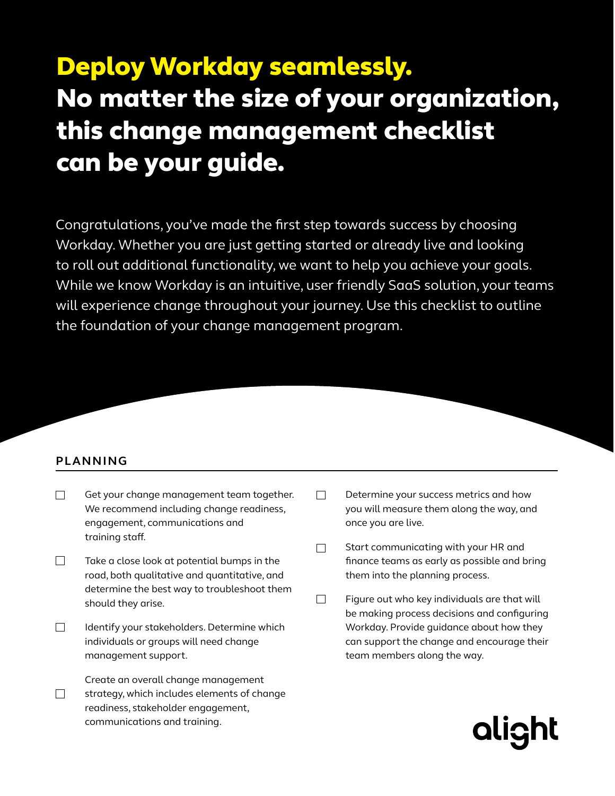# Deploy Workday seamlessly. No matter the size of your organization, this change management checklist can be your guide.

Congratulations, you've made the first step towards success by choosing Workday. Whether you are just getting started or already live and looking to roll out additional functionality, we want to help you achieve your goals. While we know Workday is an intuitive, user friendly SaaS solution, your teams will experience change throughout your journey. Use this checklist to outline the foundation of your change management program.

# **PLANNING**

- П Get your change management team together. We recommend including change readiness, engagement, communications and training staff.
- $\Box$ Take a close look at potential bumps in the road, both qualitative and quantitative, and determine the best way to troubleshoot them should they arise.
- П Identify your stakeholders. Determine which individuals or groups will need change management support.
- Create an overall change management  $\Box$ strategy, which includes elements of change readiness, stakeholder engagement, communications and training.
- $\Box$ Determine your success metrics and how you will measure them along the way, and once you are live.
- Start communicating with your HR and  $\Box$ finance teams as early as possible and bring them into the planning process.
- $\Box$ Figure out who key individuals are that will be making process decisions and configuring Workday. Provide guidance about how they can support the change and encourage their team members along the way.

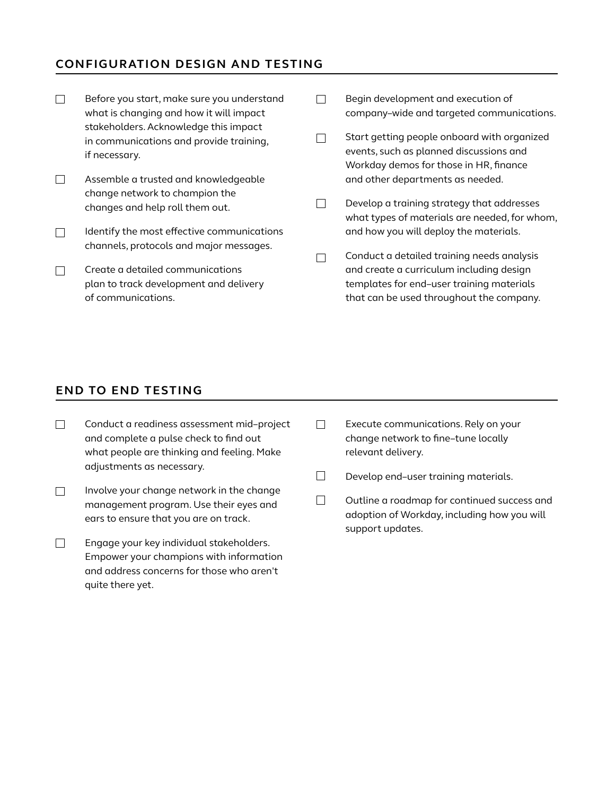# **CONFIGURATION DESIGN AND TESTING**

 $\Box$ Before you start, make sure you understand  $\Box$ Begin development and execution of what is changing and how it will impact company–wide and targeted communications. stakeholders. Acknowledge this impact Start getting people onboard with organized  $\Box$ in communications and provide training, events, such as planned discussions and if necessary. Workday demos for those in HR, finance  $\Box$ Assemble a trusted and knowledgeable and other departments as needed. change network to champion the  $\Box$ Develop a training strategy that addresses changes and help roll them out. what types of materials are needed, for whom, and how you will deploy the materials. Identify the most effective communications  $\Box$ channels, protocols and major messages. Conduct a detailed training needs analysis  $\Box$  $\Box$ Create a detailed communications and create a curriculum including design plan to track development and delivery templates for end–user training materials that can be used throughout the company. of communications.

### **END TO END TESTING**

- $\Box$ Conduct a readiness assessment mid–project and complete a pulse check to find out what people are thinking and feeling. Make adjustments as necessary.
- $\Box$ Involve your change network in the change management program. Use their eyes and ears to ensure that you are on track.
- $\Box$ Engage your key individual stakeholders. Empower your champions with information and address concerns for those who aren't quite there yet.
- $\Box$ Execute communications. Rely on your change network to fine–tune locally relevant delivery.
- $\Box$ Develop end–user training materials.
- $\Box$ Outline a roadmap for continued success and adoption of Workday, including how you will support updates.